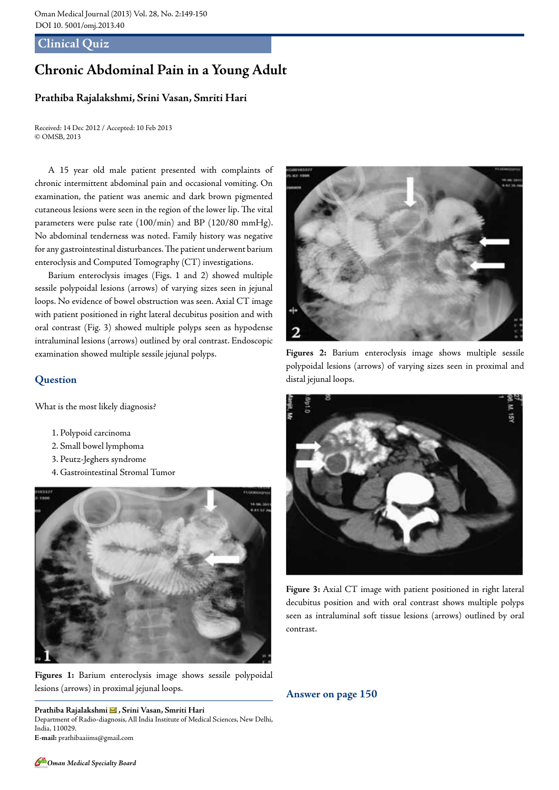## **Clinical Quiz**

## **Chronic Abdominal Pain in a Young Adult**

## **Prathiba Rajalakshmi, Srini Vasan, Smriti Hari**

Received: 14 Dec 2012 / Accepted: 10 Feb 2013 © OMSB, 2013

A 15 year old male patient presented with complaints of chronic intermittent abdominal pain and occasional vomiting. On examination, the patient was anemic and dark brown pigmented cutaneous lesions were seen in the region of the lower lip. The vital parameters were pulse rate (100/min) and BP (120/80 mmHg). No abdominal tenderness was noted. Family history was negative for any gastrointestinal disturbances. The patient underwent barium enteroclysis and Computed Tomography (CT) investigations.

Barium enteroclysis images (Figs. 1 and 2) showed multiple sessile polypoidal lesions (arrows) of varying sizes seen in jejunal loops. No evidence of bowel obstruction was seen. Axial CT image with patient positioned in right lateral decubitus position and with oral contrast (Fig. 3) showed multiple polyps seen as hypodense intraluminal lesions (arrows) outlined by oral contrast. Endoscopic examination showed multiple sessile jejunal polyps.

## **Question**

What is the most likely diagnosis?

- 1. Polypoid carcinoma
- 2. Small bowel lymphoma
- 3. Peutz-Jeghers syndrome
- 4. Gastrointestinal Stromal Tumor



**Figures 1:** Barium enteroclysis image shows sessile polypoidal lesions (arrows) in proximal jejunal loops.

**Prathiba Rajalakshmi , Srini Vasan, Smriti Hari**  Department of Radio-diagnosis, All India Institute of Medical Sciences, New Delhi, India, 110029. **E-mail:** prathibaaiims@gmail.com



**Figures 2:** Barium enteroclysis image shows multiple sessile polypoidal lesions (arrows) of varying sizes seen in proximal and distal jejunal loops.



**Figure 3:** Axial CT image with patient positioned in right lateral decubitus position and with oral contrast shows multiple polyps seen as intraluminal soft tissue lesions (arrows) outlined by oral contrast.

**Answer on page 150**